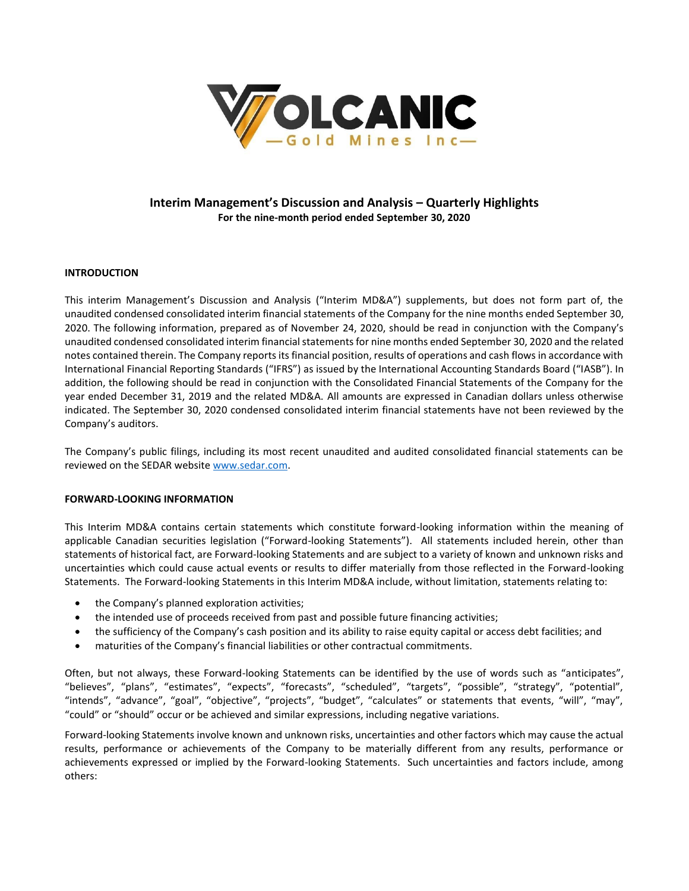

# **Interim Management's Discussion and Analysis – Quarterly Highlights For the nine-month period ended September 30, 2020**

# **INTRODUCTION**

This interim Management's Discussion and Analysis ("Interim MD&A") supplements, but does not form part of, the unaudited condensed consolidated interim financial statements of the Company for the nine months ended September 30, 2020. The following information, prepared as of November 24, 2020, should be read in conjunction with the Company's unaudited condensed consolidated interim financial statements for nine months ended September 30, 2020 and the related notes contained therein. The Company reports its financial position, results of operations and cash flows in accordance with International Financial Reporting Standards ("IFRS") as issued by the International Accounting Standards Board ("IASB"). In addition, the following should be read in conjunction with the Consolidated Financial Statements of the Company for the year ended December 31, 2019 and the related MD&A. All amounts are expressed in Canadian dollars unless otherwise indicated. The September 30, 2020 condensed consolidated interim financial statements have not been reviewed by the Company's auditors.

The Company's public filings, including its most recent unaudited and audited consolidated financial statements can be reviewed on the SEDAR websit[e www.sedar.com.](http://www.sedar.com/)

#### **FORWARD-LOOKING INFORMATION**

This Interim MD&A contains certain statements which constitute forward-looking information within the meaning of applicable Canadian securities legislation ("Forward-looking Statements"). All statements included herein, other than statements of historical fact, are Forward-looking Statements and are subject to a variety of known and unknown risks and uncertainties which could cause actual events or results to differ materially from those reflected in the Forward-looking Statements. The Forward-looking Statements in this Interim MD&A include, without limitation, statements relating to:

- the Company's planned exploration activities;
- the intended use of proceeds received from past and possible future financing activities;
- the sufficiency of the Company's cash position and its ability to raise equity capital or access debt facilities; and
- maturities of the Company's financial liabilities or other contractual commitments.

Often, but not always, these Forward-looking Statements can be identified by the use of words such as "anticipates", "believes", "plans", "estimates", "expects", "forecasts", "scheduled", "targets", "possible", "strategy", "potential", "intends", "advance", "goal", "objective", "projects", "budget", "calculates" or statements that events, "will", "may", "could" or "should" occur or be achieved and similar expressions, including negative variations.

Forward-looking Statements involve known and unknown risks, uncertainties and other factors which may cause the actual results, performance or achievements of the Company to be materially different from any results, performance or achievements expressed or implied by the Forward-looking Statements. Such uncertainties and factors include, among others: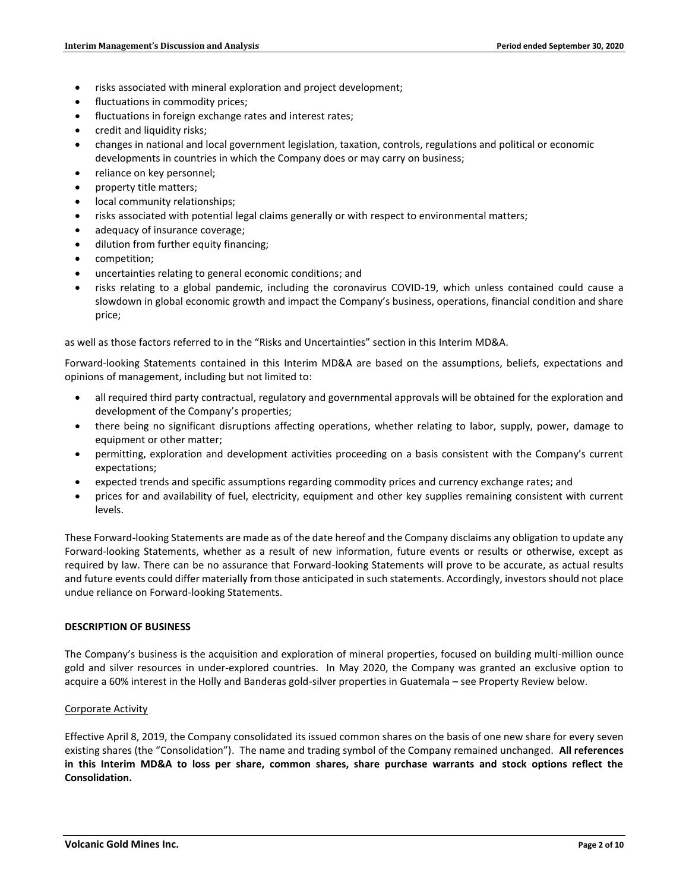- risks associated with mineral exploration and project development;
- fluctuations in commodity prices;
- fluctuations in foreign exchange rates and interest rates;
- credit and liquidity risks;
- changes in national and local government legislation, taxation, controls, regulations and political or economic developments in countries in which the Company does or may carry on business;
- reliance on key personnel;
- property title matters;
- local community relationships;
- risks associated with potential legal claims generally or with respect to environmental matters;
- adequacy of insurance coverage;
- dilution from further equity financing;
- competition;
- uncertainties relating to general economic conditions; and
- risks relating to a global pandemic, including the coronavirus COVID-19, which unless contained could cause a slowdown in global economic growth and impact the Company's business, operations, financial condition and share price;

as well as those factors referred to in the "Risks and Uncertainties" section in this Interim MD&A.

Forward-looking Statements contained in this Interim MD&A are based on the assumptions, beliefs, expectations and opinions of management, including but not limited to:

- all required third party contractual, regulatory and governmental approvals will be obtained for the exploration and development of the Company's properties;
- there being no significant disruptions affecting operations, whether relating to labor, supply, power, damage to equipment or other matter;
- permitting, exploration and development activities proceeding on a basis consistent with the Company's current expectations;
- expected trends and specific assumptions regarding commodity prices and currency exchange rates; and
- prices for and availability of fuel, electricity, equipment and other key supplies remaining consistent with current levels.

These Forward-looking Statements are made as of the date hereof and the Company disclaims any obligation to update any Forward-looking Statements, whether as a result of new information, future events or results or otherwise, except as required by law. There can be no assurance that Forward-looking Statements will prove to be accurate, as actual results and future events could differ materially from those anticipated in such statements. Accordingly, investors should not place undue reliance on Forward-looking Statements.

#### **DESCRIPTION OF BUSINESS**

The Company's business is the acquisition and exploration of mineral properties, focused on building multi-million ounce gold and silver resources in under-explored countries. In May 2020, the Company was granted an exclusive option to acquire a 60% interest in the Holly and Banderas gold-silver properties in Guatemala – see Property Review below.

#### Corporate Activity

Effective April 8, 2019, the Company consolidated its issued common shares on the basis of one new share for every seven existing shares (the "Consolidation"). The name and trading symbol of the Company remained unchanged. **All references in this Interim MD&A to loss per share, common shares, share purchase warrants and stock options reflect the Consolidation.**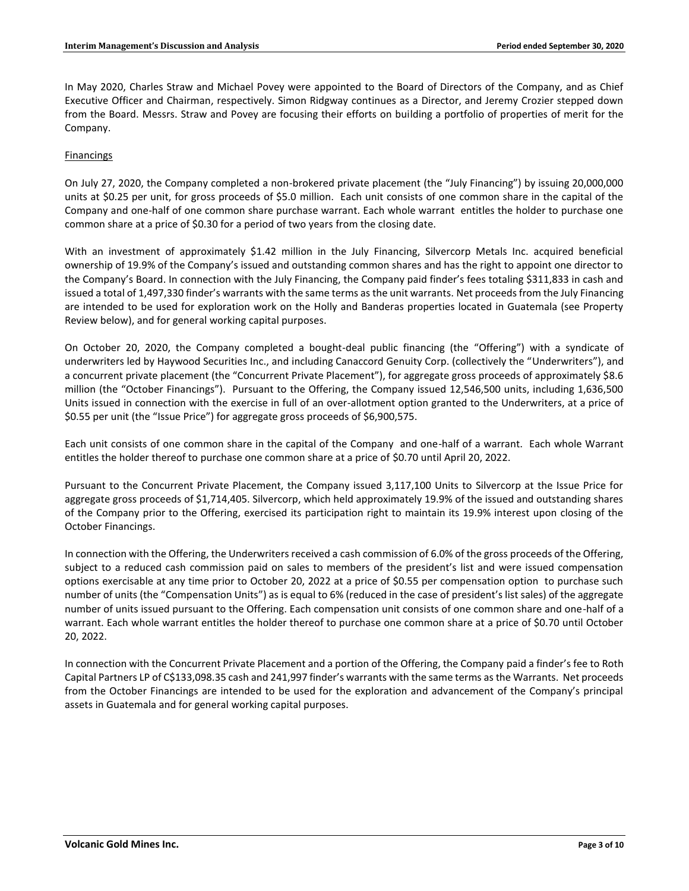In May 2020, Charles Straw and Michael Povey were appointed to the Board of Directors of the Company, and as Chief Executive Officer and Chairman, respectively. Simon Ridgway continues as a Director, and Jeremy Crozier stepped down from the Board. Messrs. Straw and Povey are focusing their efforts on building a portfolio of properties of merit for the Company.

# Financings

On July 27, 2020, the Company completed a non-brokered private placement (the "July Financing") by issuing 20,000,000 units at \$0.25 per unit, for gross proceeds of \$5.0 million. Each unit consists of one common share in the capital of the Company and one-half of one common share purchase warrant. Each whole warrant entitles the holder to purchase one common share at a price of \$0.30 for a period of two years from the closing date.

With an investment of approximately \$1.42 million in the July Financing, Silvercorp Metals Inc. acquired beneficial ownership of 19.9% of the Company's issued and outstanding common shares and has the right to appoint one director to the Company's Board. In connection with the July Financing, the Company paid finder's fees totaling \$311,833 in cash and issued a total of 1,497,330 finder's warrants with the same terms as the unit warrants. Net proceeds from the July Financing are intended to be used for exploration work on the Holly and Banderas properties located in Guatemala (see Property Review below), and for general working capital purposes.

On October 20, 2020, the Company completed a bought-deal public financing (the "Offering") with a syndicate of underwriters led by Haywood Securities Inc., and including Canaccord Genuity Corp. (collectively the "Underwriters"), and a concurrent private placement (the "Concurrent Private Placement"), for aggregate gross proceeds of approximately \$8.6 million (the "October Financings"). Pursuant to the Offering, the Company issued 12,546,500 units, including 1,636,500 Units issued in connection with the exercise in full of an over-allotment option granted to the Underwriters, at a price of \$0.55 per unit (the "Issue Price") for aggregate gross proceeds of \$6,900,575.

Each unit consists of one common share in the capital of the Company and one-half of a warrant. Each whole Warrant entitles the holder thereof to purchase one common share at a price of \$0.70 until April 20, 2022.

Pursuant to the Concurrent Private Placement, the Company issued 3,117,100 Units to Silvercorp at the Issue Price for aggregate gross proceeds of \$1,714,405. Silvercorp, which held approximately 19.9% of the issued and outstanding shares of the Company prior to the Offering, exercised its participation right to maintain its 19.9% interest upon closing of the October Financings.

In connection with the Offering, the Underwriters received a cash commission of 6.0% of the gross proceeds of the Offering, subject to a reduced cash commission paid on sales to members of the president's list and were issued compensation options exercisable at any time prior to October 20, 2022 at a price of \$0.55 per compensation option to purchase such number of units (the "Compensation Units") as is equal to 6% (reduced in the case of president's list sales) of the aggregate number of units issued pursuant to the Offering. Each compensation unit consists of one common share and one-half of a warrant. Each whole warrant entitles the holder thereof to purchase one common share at a price of \$0.70 until October 20, 2022.

In connection with the Concurrent Private Placement and a portion of the Offering, the Company paid a finder's fee to Roth Capital Partners LP of C\$133,098.35 cash and 241,997 finder's warrants with the same terms as the Warrants. Net proceeds from the October Financings are intended to be used for the exploration and advancement of the Company's principal assets in Guatemala and for general working capital purposes.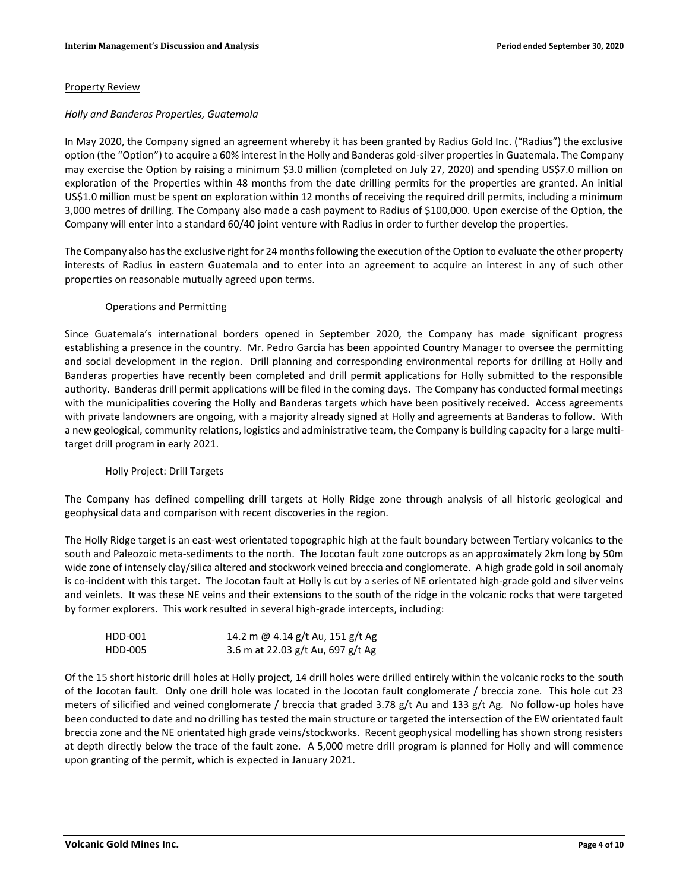#### Property Review

#### *Holly and Banderas Properties, Guatemala*

In May 2020, the Company signed an agreement whereby it has been granted by Radius Gold Inc. ("Radius") the exclusive option (the "Option") to acquire a 60% interest in the Holly and Banderas gold-silver properties in Guatemala. The Company may exercise the Option by raising a minimum \$3.0 million (completed on July 27, 2020) and spending US\$7.0 million on exploration of the Properties within 48 months from the date drilling permits for the properties are granted. An initial US\$1.0 million must be spent on exploration within 12 months of receiving the required drill permits, including a minimum 3,000 metres of drilling. The Company also made a cash payment to Radius of \$100,000. Upon exercise of the Option, the Company will enter into a standard 60/40 joint venture with Radius in order to further develop the properties.

The Company also has the exclusive right for 24 months following the execution of the Option to evaluate the other property interests of Radius in eastern Guatemala and to enter into an agreement to acquire an interest in any of such other properties on reasonable mutually agreed upon terms.

# Operations and Permitting

Since Guatemala's international borders opened in September 2020, the Company has made significant progress establishing a presence in the country. Mr. Pedro Garcia has been appointed Country Manager to oversee the permitting and social development in the region. Drill planning and corresponding environmental reports for drilling at Holly and Banderas properties have recently been completed and drill permit applications for Holly submitted to the responsible authority. Banderas drill permit applications will be filed in the coming days. The Company has conducted formal meetings with the municipalities covering the Holly and Banderas targets which have been positively received. Access agreements with private landowners are ongoing, with a majority already signed at Holly and agreements at Banderas to follow. With a new geological, community relations, logistics and administrative team, the Company is building capacity for a large multitarget drill program in early 2021.

#### Holly Project: Drill Targets

The Company has defined compelling drill targets at Holly Ridge zone through analysis of all historic geological and geophysical data and comparison with recent discoveries in the region.

The Holly Ridge target is an east-west orientated topographic high at the fault boundary between Tertiary volcanics to the south and Paleozoic meta-sediments to the north. The Jocotan fault zone outcrops as an approximately 2km long by 50m wide zone of intensely clay/silica altered and stockwork veined breccia and conglomerate. A high grade gold in soil anomaly is co-incident with this target. The Jocotan fault at Holly is cut by a series of NE orientated high-grade gold and silver veins and veinlets. It was these NE veins and their extensions to the south of the ridge in the volcanic rocks that were targeted by former explorers. This work resulted in several high-grade intercepts, including:

| HDD-001 | 14.2 m @ 4.14 g/t Au, 151 g/t Ag  |
|---------|-----------------------------------|
| HDD-005 | 3.6 m at 22.03 g/t Au, 697 g/t Ag |

Of the 15 short historic drill holes at Holly project, 14 drill holes were drilled entirely within the volcanic rocks to the south of the Jocotan fault. Only one drill hole was located in the Jocotan fault conglomerate / breccia zone. This hole cut 23 meters of silicified and veined conglomerate / breccia that graded 3.78 g/t Au and 133 g/t Ag. No follow-up holes have been conducted to date and no drilling has tested the main structure or targeted the intersection of the EW orientated fault breccia zone and the NE orientated high grade veins/stockworks. Recent geophysical modelling has shown strong resisters at depth directly below the trace of the fault zone. A 5,000 metre drill program is planned for Holly and will commence upon granting of the permit, which is expected in January 2021.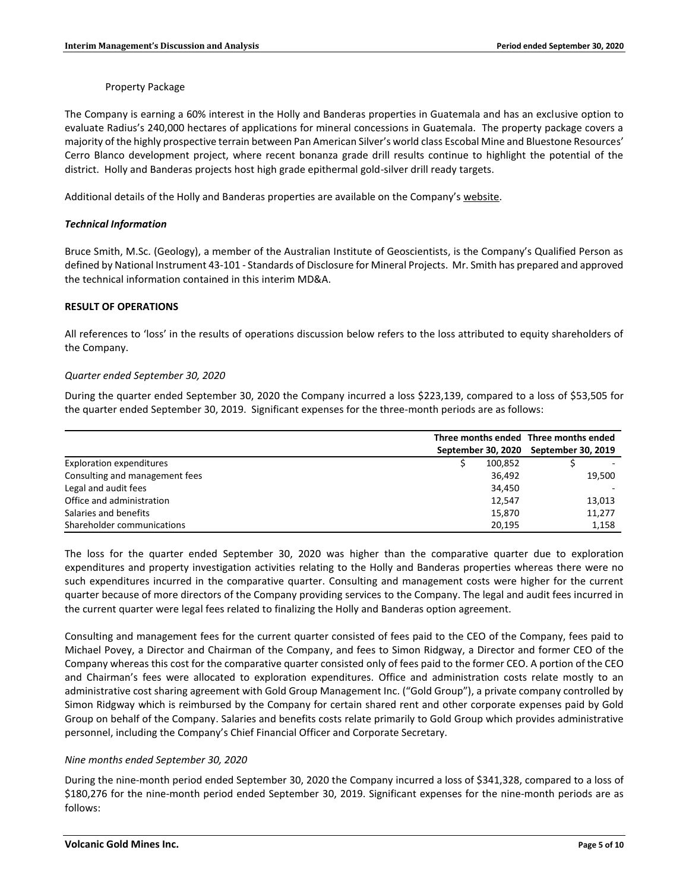Property Package

The Company is earning a 60% interest in the Holly and Banderas properties in Guatemala and has an exclusive option to evaluate Radius's 240,000 hectares of applications for mineral concessions in Guatemala. The property package covers a majority of the highly prospective terrain between Pan American Silver's world class Escobal Mine and Bluestone Resources' Cerro Blanco development project, where recent bonanza grade drill results continue to highlight the potential of the district. Holly and Banderas projects host high grade epithermal gold-silver drill ready targets.

Additional details of the Holly and Banderas properties are available on the Company's [website.](http://www.volgold.com/)

# *Technical Information*

Bruce Smith, M.Sc. (Geology), a member of the Australian Institute of Geoscientists, is the Company's Qualified Person as defined by National Instrument 43-101 - Standards of Disclosure for Mineral Projects. Mr. Smith has prepared and approved the technical information contained in this interim MD&A.

# **RESULT OF OPERATIONS**

All references to 'loss' in the results of operations discussion below refers to the loss attributed to equity shareholders of the Company.

# *Quarter ended September 30, 2020*

During the quarter ended September 30, 2020 the Company incurred a loss \$223,139, compared to a loss of \$53,505 for the quarter ended September 30, 2019. Significant expenses for the three-month periods are as follows:

|                                 |         | Three months ended Three months ended |        |
|---------------------------------|---------|---------------------------------------|--------|
|                                 |         | September 30, 2020 September 30, 2019 |        |
| <b>Exploration expenditures</b> | 100.852 |                                       |        |
| Consulting and management fees  | 36.492  |                                       | 19.500 |
| Legal and audit fees            | 34.450  |                                       |        |
| Office and administration       | 12.547  |                                       | 13,013 |
| Salaries and benefits           | 15,870  |                                       | 11,277 |
| Shareholder communications      | 20.195  |                                       | 1,158  |

The loss for the quarter ended September 30, 2020 was higher than the comparative quarter due to exploration expenditures and property investigation activities relating to the Holly and Banderas properties whereas there were no such expenditures incurred in the comparative quarter. Consulting and management costs were higher for the current quarter because of more directors of the Company providing services to the Company. The legal and audit fees incurred in the current quarter were legal fees related to finalizing the Holly and Banderas option agreement.

Consulting and management fees for the current quarter consisted of fees paid to the CEO of the Company, fees paid to Michael Povey, a Director and Chairman of the Company, and fees to Simon Ridgway, a Director and former CEO of the Company whereas this cost for the comparative quarter consisted only of fees paid to the former CEO. A portion of the CEO and Chairman's fees were allocated to exploration expenditures. Office and administration costs relate mostly to an administrative cost sharing agreement with Gold Group Management Inc. ("Gold Group"), a private company controlled by Simon Ridgway which is reimbursed by the Company for certain shared rent and other corporate expenses paid by Gold Group on behalf of the Company. Salaries and benefits costs relate primarily to Gold Group which provides administrative personnel, including the Company's Chief Financial Officer and Corporate Secretary.

#### *Nine months ended September 30, 2020*

During the nine-month period ended September 30, 2020 the Company incurred a loss of \$341,328, compared to a loss of \$180,276 for the nine-month period ended September 30, 2019. Significant expenses for the nine-month periods are as follows: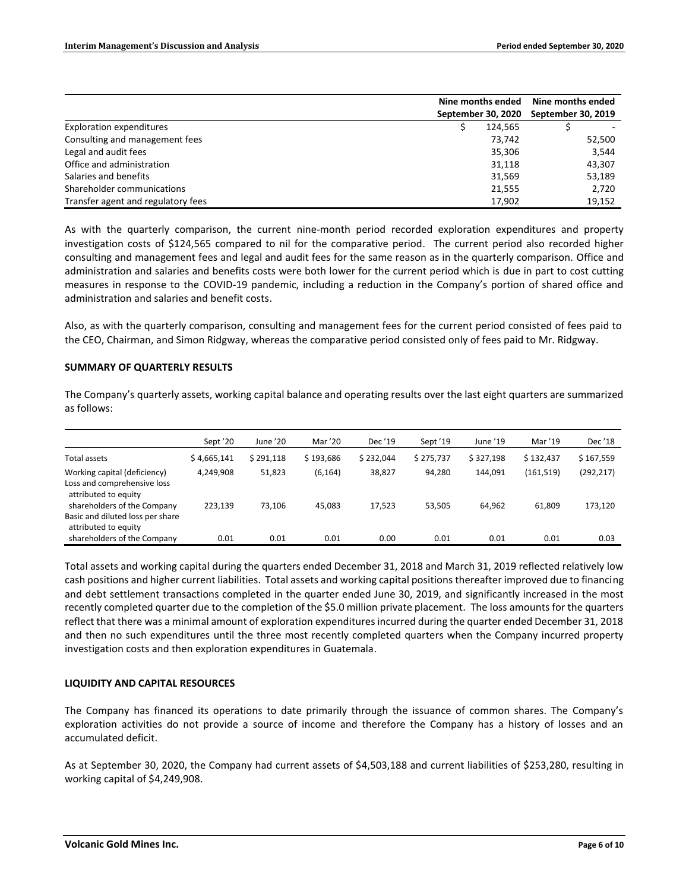|                                    | Nine months ended  | Nine months ended  |        |
|------------------------------------|--------------------|--------------------|--------|
|                                    | September 30, 2020 | September 30, 2019 |        |
| Exploration expenditures           | 124.565            |                    |        |
| Consulting and management fees     | 73.742             |                    | 52,500 |
| Legal and audit fees               | 35,306             |                    | 3,544  |
| Office and administration          | 31,118             |                    | 43,307 |
| Salaries and benefits              | 31,569             |                    | 53,189 |
| Shareholder communications         | 21,555             |                    | 2,720  |
| Transfer agent and regulatory fees | 17.902             |                    | 19,152 |

As with the quarterly comparison, the current nine-month period recorded exploration expenditures and property investigation costs of \$124,565 compared to nil for the comparative period. The current period also recorded higher consulting and management fees and legal and audit fees for the same reason as in the quarterly comparison. Office and administration and salaries and benefits costs were both lower for the current period which is due in part to cost cutting measures in response to the COVID-19 pandemic, including a reduction in the Company's portion of shared office and administration and salaries and benefit costs.

Also, as with the quarterly comparison, consulting and management fees for the current period consisted of fees paid to the CEO, Chairman, and Simon Ridgway, whereas the comparative period consisted only of fees paid to Mr. Ridgway.

# **SUMMARY OF QUARTERLY RESULTS**

The Company's quarterly assets, working capital balance and operating results over the last eight quarters are summarized as follows:

|                                                                                         | Sept '20    | June '20  | Mar '20   | Dec '19   | Sept '19  | June '19  | Mar '19    | Dec '18    |
|-----------------------------------------------------------------------------------------|-------------|-----------|-----------|-----------|-----------|-----------|------------|------------|
| Total assets                                                                            | \$4,665,141 | \$291,118 | \$193.686 | \$232.044 | \$275,737 | \$327.198 | \$132.437  | \$167,559  |
| Working capital (deficiency)<br>Loss and comprehensive loss<br>attributed to equity     | 4,249,908   | 51,823    | (6, 164)  | 38,827    | 94,280    | 144,091   | (161, 519) | (292, 217) |
| shareholders of the Company<br>Basic and diluted loss per share<br>attributed to equity | 223.139     | 73.106    | 45,083    | 17,523    | 53,505    | 64,962    | 61,809     | 173,120    |
| shareholders of the Company                                                             | 0.01        | 0.01      | 0.01      | 0.00      | 0.01      | 0.01      | 0.01       | 0.03       |

Total assets and working capital during the quarters ended December 31, 2018 and March 31, 2019 reflected relatively low cash positions and higher current liabilities. Total assets and working capital positions thereafter improved due to financing and debt settlement transactions completed in the quarter ended June 30, 2019, and significantly increased in the most recently completed quarter due to the completion of the \$5.0 million private placement. The loss amounts for the quarters reflect that there was a minimal amount of exploration expenditures incurred during the quarter ended December 31, 2018 and then no such expenditures until the three most recently completed quarters when the Company incurred property investigation costs and then exploration expenditures in Guatemala.

# **LIQUIDITY AND CAPITAL RESOURCES**

The Company has financed its operations to date primarily through the issuance of common shares. The Company's exploration activities do not provide a source of income and therefore the Company has a history of losses and an accumulated deficit.

As at September 30, 2020, the Company had current assets of \$4,503,188 and current liabilities of \$253,280, resulting in working capital of \$4,249,908.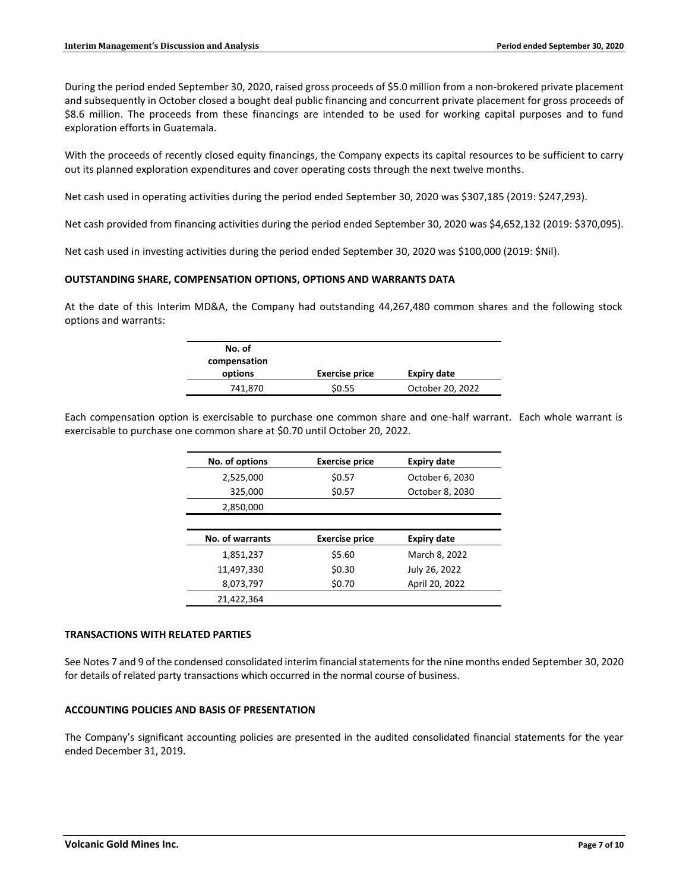During the period ended September 30, 2020, raised gross proceeds of \$5.0 million from a non-brokered private placement and subsequently in October closed a bought deal public financing and concurrent private placement for gross proceeds of \$8.6 million. The proceeds from these financings are intended to be used for working capital purposes and to fund exploration efforts in Guatemala.

With the proceeds of recently closed equity financings, the Company expects its capital resources to be sufficient to carry out its planned exploration expenditures and cover operating costs through the next twelve months.

Net cash used in operating activities during the period ended September 30, 2020 was \$307,185 (2019: \$247,293).

Net cash provided from financing activities during the period ended September 30, 2020 was \$4,652,132 (2019: \$370,095).

Net cash used in investing activities during the period ended September 30, 2020 was \$100,000 (2019: \$Nil).

# **OUTSTANDING SHARE, COMPENSATION OPTIONS, OPTIONS AND WARRANTS DATA**

At the date of this Interim MD&A, the Company had outstanding 44,267,480 common shares and the following stock options and warrants:

| No. of<br>compensation |                       |                    |
|------------------------|-----------------------|--------------------|
| options                | <b>Exercise price</b> | <b>Expiry date</b> |
| 741,870                | \$0.55                | October 20, 2022   |

Each compensation option is exercisable to purchase one common share and one-half warrant. Each whole warrant is exercisable to purchase one common share at \$0.70 until October 20, 2022.

| No. of options  | <b>Exercise price</b> | <b>Expiry date</b> |
|-----------------|-----------------------|--------------------|
| 2,525,000       | \$0.57                | October 6, 2030    |
| 325,000         | \$0.57                | October 8, 2030    |
| 2,850,000       |                       |                    |
|                 |                       |                    |
|                 |                       |                    |
| No. of warrants | <b>Exercise price</b> | <b>Expiry date</b> |
| 1.851.237       | \$5.60                | March 8, 2022      |
| 11,497,330      | \$0.30                | July 26, 2022      |
| 8,073,797       | \$0.70                | April 20, 2022     |

#### **TRANSACTIONS WITH RELATED PARTIES**

See Notes 7 and 9 of the condensed consolidated interim financial statements for the nine months ended September 30, 2020 for details of related party transactions which occurred in the normal course of business.

#### **ACCOUNTING POLICIES AND BASIS OF PRESENTATION**

The Company's significant accounting policies are presented in the audited consolidated financial statements for the year ended December 31, 2019.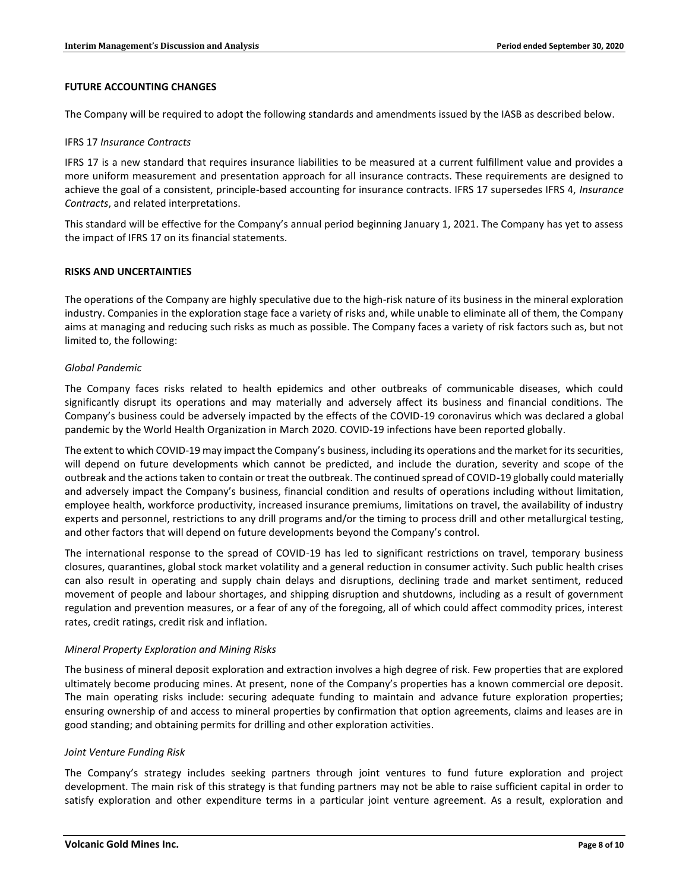# **FUTURE ACCOUNTING CHANGES**

The Company will be required to adopt the following standards and amendments issued by the IASB as described below.

#### IFRS 17 *Insurance Contracts*

IFRS 17 is a new standard that requires insurance liabilities to be measured at a current fulfillment value and provides a more uniform measurement and presentation approach for all insurance contracts. These requirements are designed to achieve the goal of a consistent, principle-based accounting for insurance contracts. IFRS 17 supersedes IFRS 4, *Insurance Contracts*, and related interpretations.

This standard will be effective for the Company's annual period beginning January 1, 2021. The Company has yet to assess the impact of IFRS 17 on its financial statements.

# **RISKS AND UNCERTAINTIES**

The operations of the Company are highly speculative due to the high-risk nature of its business in the mineral exploration industry. Companies in the exploration stage face a variety of risks and, while unable to eliminate all of them, the Company aims at managing and reducing such risks as much as possible. The Company faces a variety of risk factors such as, but not limited to, the following:

# *Global Pandemic*

The Company faces risks related to health epidemics and other outbreaks of communicable diseases, which could significantly disrupt its operations and may materially and adversely affect its business and financial conditions. The Company's business could be adversely impacted by the effects of the COVID-19 coronavirus which was declared a global pandemic by the World Health Organization in March 2020. COVID-19 infections have been reported globally.

The extent to which COVID-19 may impact the Company's business, including its operations and the market for its securities, will depend on future developments which cannot be predicted, and include the duration, severity and scope of the outbreak and the actions taken to contain or treat the outbreak. The continued spread of COVID-19 globally could materially and adversely impact the Company's business, financial condition and results of operations including without limitation, employee health, workforce productivity, increased insurance premiums, limitations on travel, the availability of industry experts and personnel, restrictions to any drill programs and/or the timing to process drill and other metallurgical testing, and other factors that will depend on future developments beyond the Company's control.

The international response to the spread of COVID-19 has led to significant restrictions on travel, temporary business closures, quarantines, global stock market volatility and a general reduction in consumer activity. Such public health crises can also result in operating and supply chain delays and disruptions, declining trade and market sentiment, reduced movement of people and labour shortages, and shipping disruption and shutdowns, including as a result of government regulation and prevention measures, or a fear of any of the foregoing, all of which could affect commodity prices, interest rates, credit ratings, credit risk and inflation.

# *Mineral Property Exploration and Mining Risks*

The business of mineral deposit exploration and extraction involves a high degree of risk. Few properties that are explored ultimately become producing mines. At present, none of the Company's properties has a known commercial ore deposit. The main operating risks include: securing adequate funding to maintain and advance future exploration properties; ensuring ownership of and access to mineral properties by confirmation that option agreements, claims and leases are in good standing; and obtaining permits for drilling and other exploration activities.

# *Joint Venture Funding Risk*

The Company's strategy includes seeking partners through joint ventures to fund future exploration and project development. The main risk of this strategy is that funding partners may not be able to raise sufficient capital in order to satisfy exploration and other expenditure terms in a particular joint venture agreement. As a result, exploration and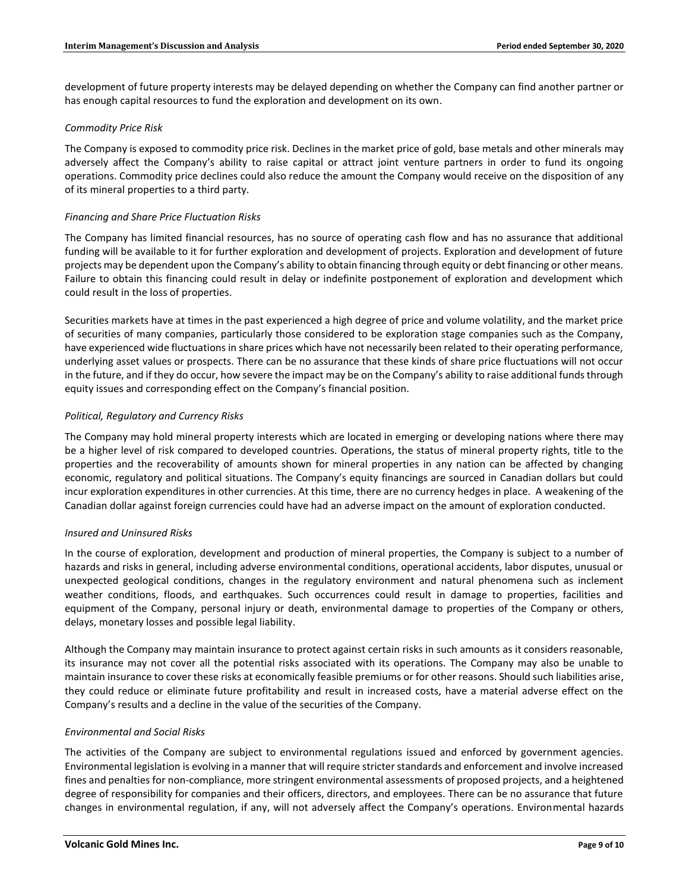development of future property interests may be delayed depending on whether the Company can find another partner or has enough capital resources to fund the exploration and development on its own.

# *Commodity Price Risk*

The Company is exposed to commodity price risk. Declines in the market price of gold, base metals and other minerals may adversely affect the Company's ability to raise capital or attract joint venture partners in order to fund its ongoing operations. Commodity price declines could also reduce the amount the Company would receive on the disposition of any of its mineral properties to a third party.

# *Financing and Share Price Fluctuation Risks*

The Company has limited financial resources, has no source of operating cash flow and has no assurance that additional funding will be available to it for further exploration and development of projects. Exploration and development of future projects may be dependent upon the Company's ability to obtain financing through equity or debt financing or other means. Failure to obtain this financing could result in delay or indefinite postponement of exploration and development which could result in the loss of properties.

Securities markets have at times in the past experienced a high degree of price and volume volatility, and the market price of securities of many companies, particularly those considered to be exploration stage companies such as the Company, have experienced wide fluctuations in share prices which have not necessarily been related to their operating performance, underlying asset values or prospects. There can be no assurance that these kinds of share price fluctuations will not occur in the future, and if they do occur, how severe the impact may be on the Company's ability to raise additional funds through equity issues and corresponding effect on the Company's financial position.

# *Political, Regulatory and Currency Risks*

The Company may hold mineral property interests which are located in emerging or developing nations where there may be a higher level of risk compared to developed countries. Operations, the status of mineral property rights, title to the properties and the recoverability of amounts shown for mineral properties in any nation can be affected by changing economic, regulatory and political situations. The Company's equity financings are sourced in Canadian dollars but could incur exploration expenditures in other currencies. At this time, there are no currency hedges in place. A weakening of the Canadian dollar against foreign currencies could have had an adverse impact on the amount of exploration conducted.

# *Insured and Uninsured Risks*

In the course of exploration, development and production of mineral properties, the Company is subject to a number of hazards and risks in general, including adverse environmental conditions, operational accidents, labor disputes, unusual or unexpected geological conditions, changes in the regulatory environment and natural phenomena such as inclement weather conditions, floods, and earthquakes. Such occurrences could result in damage to properties, facilities and equipment of the Company, personal injury or death, environmental damage to properties of the Company or others, delays, monetary losses and possible legal liability.

Although the Company may maintain insurance to protect against certain risks in such amounts as it considers reasonable, its insurance may not cover all the potential risks associated with its operations. The Company may also be unable to maintain insurance to cover these risks at economically feasible premiums or for other reasons. Should such liabilities arise, they could reduce or eliminate future profitability and result in increased costs, have a material adverse effect on the Company's results and a decline in the value of the securities of the Company.

#### *Environmental and Social Risks*

The activities of the Company are subject to environmental regulations issued and enforced by government agencies. Environmental legislation is evolving in a manner that will require stricter standards and enforcement and involve increased fines and penalties for non-compliance, more stringent environmental assessments of proposed projects, and a heightened degree of responsibility for companies and their officers, directors, and employees. There can be no assurance that future changes in environmental regulation, if any, will not adversely affect the Company's operations. Environmental hazards